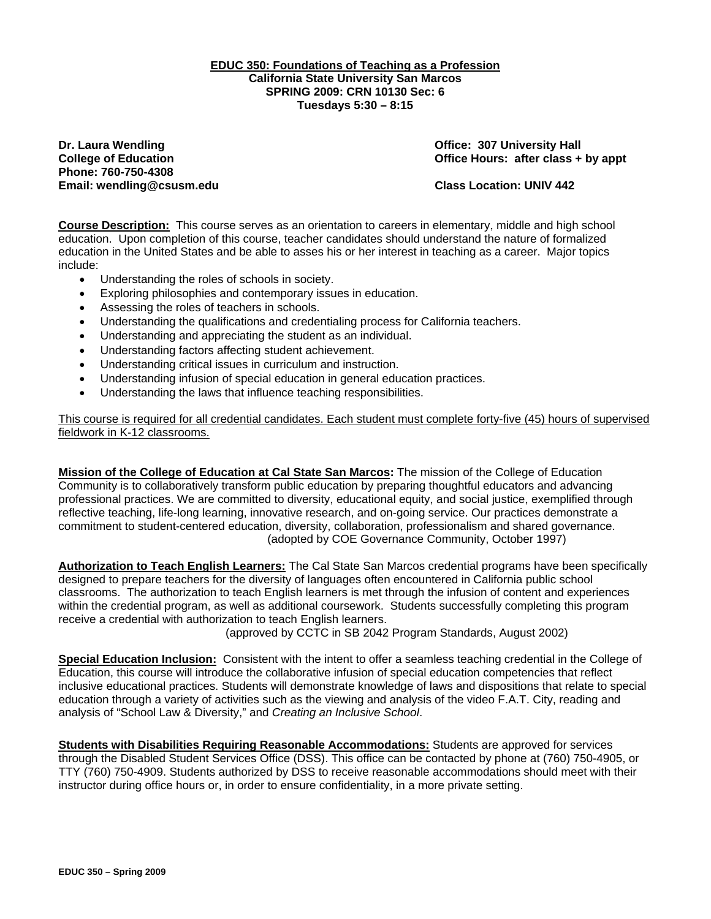### **EDUC 350: Foundations of Teaching as a Profession California State University San Marcos SPRING 2009: CRN 10130 Sec: 6 Tuesdays 5:30 – 8:15**

**Dr. Laura Wendling Community Community Community Community Community Community Community Community Community Community Community Community Community Community Community Community Community Community Community Community Co Phone: 760-750-4308 Email: wendling@csusm.edu Class Location: UNIV 442** 

**College of Education College of Education College Act College of Education College Act Class + by appt** 

**Course Description:** This course serves as an orientation to careers in elementary, middle and high school education. Upon completion of this course, teacher candidates should understand the nature of formalized education in the United States and be able to asses his or her interest in teaching as a career. Major topics include:

- Understanding the roles of schools in society.
- Exploring philosophies and contemporary issues in education.
- Assessing the roles of teachers in schools.
- Understanding the qualifications and credentialing process for California teachers.
- Understanding and appreciating the student as an individual.
- Understanding factors affecting student achievement.
- Understanding critical issues in curriculum and instruction.
- Understanding infusion of special education in general education practices.
- Understanding the laws that influence teaching responsibilities.

This course is required for all credential candidates. Each student must complete forty-five (45) hours of supervised fieldwork in K-12 classrooms.

**Mission of the College of Education at Cal State San Marcos:** The mission of the College of Education Community is to collaboratively transform public education by preparing thoughtful educators and advancing professional practices. We are committed to diversity, educational equity, and social justice, exemplified through reflective teaching, life-long learning, innovative research, and on-going service. Our practices demonstrate a commitment to student-centered education, diversity, collaboration, professionalism and shared governance. (adopted by COE Governance Community, October 1997)

**Authorization to Teach English Learners:** The Cal State San Marcos credential programs have been specifically designed to prepare teachers for the diversity of languages often encountered in California public school classrooms. The authorization to teach English learners is met through the infusion of content and experiences within the credential program, as well as additional coursework. Students successfully completing this program receive a credential with authorization to teach English learners.

(approved by CCTC in SB 2042 Program Standards, August 2002)

 **Special Education Inclusion:** Consistent with the intent to offer a seamless teaching credential in the College of Education, this course will introduce the collaborative infusion of special education competencies that reflect inclusive educational practices. Students will demonstrate knowledge of laws and dispositions that relate to special education through a variety of activities such as the viewing and analysis of the video F.A.T. City, reading and analysis of "School Law & Diversity," and *Creating an Inclusive School*.

**Students with Disabilities Requiring Reasonable Accommodations:** Students are approved for services through the Disabled Student Services Office (DSS). This office can be contacted by phone at (760) 750-4905, or TTY (760) 750-4909. Students authorized by DSS to receive reasonable accommodations should meet with their instructor during office hours or, in order to ensure confidentiality, in a more private setting.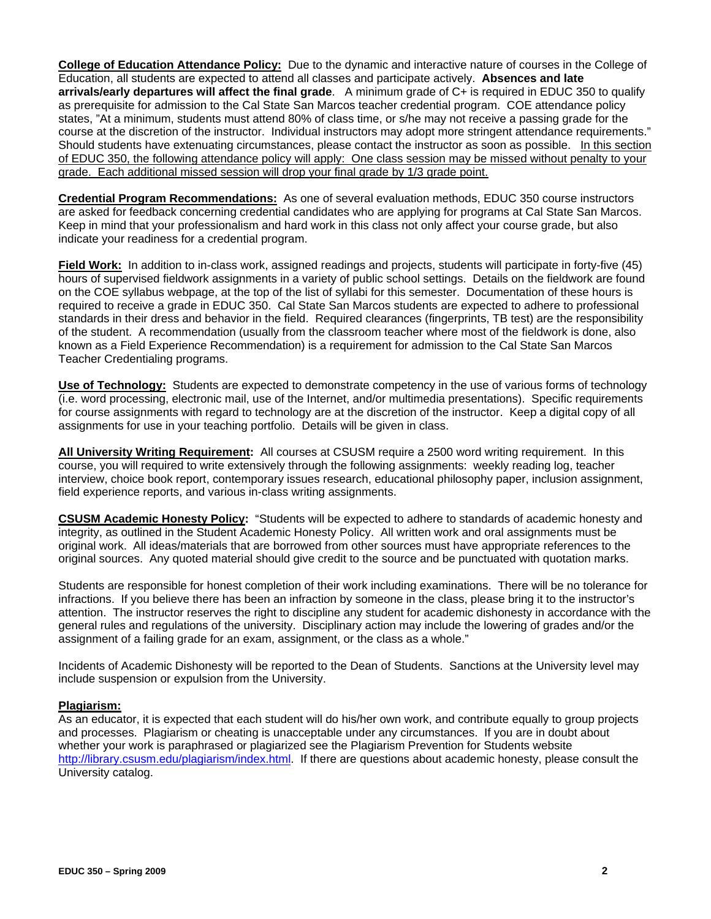**College of Education Attendance Policy:** Due to the dynamic and interactive nature of courses in the College of Education, all students are expected to attend all classes and participate actively. **Absences and late arrivals/early departures will affect the final grade**. A minimum grade of C+ is required in EDUC 350 to qualify as prerequisite for admission to the Cal State San Marcos teacher credential program. COE attendance policy states, "At a minimum, students must attend 80% of class time, or s/he may not receive a passing grade for the course at the discretion of the instructor. Individual instructors may adopt more stringent attendance requirements." Should students have extenuating circumstances, please contact the instructor as soon as possible. In this section of EDUC 350, the following attendance policy will apply: One class session may be missed without penalty to your grade. Each additional missed session will drop your final grade by 1/3 grade point.

**Credential Program Recommendations:** As one of several evaluation methods, EDUC 350 course instructors are asked for feedback concerning credential candidates who are applying for programs at Cal State San Marcos. Keep in mind that your professionalism and hard work in this class not only affect your course grade, but also indicate your readiness for a credential program.

**Field Work:** In addition to in-class work, assigned readings and projects, students will participate in forty-five (45) hours of supervised fieldwork assignments in a variety of public school settings. Details on the fieldwork are found on the COE syllabus webpage, at the top of the list of syllabi for this semester. Documentation of these hours is required to receive a grade in EDUC 350. Cal State San Marcos students are expected to adhere to professional standards in their dress and behavior in the field. Required clearances (fingerprints, TB test) are the responsibility of the student. A recommendation (usually from the classroom teacher where most of the fieldwork is done, also known as a Field Experience Recommendation) is a requirement for admission to the Cal State San Marcos Teacher Credentialing programs.

**Use of Technology:** Students are expected to demonstrate competency in the use of various forms of technology (i.e. word processing, electronic mail, use of the Internet, and/or multimedia presentations). Specific requirements for course assignments with regard to technology are at the discretion of the instructor. Keep a digital copy of all assignments for use in your teaching portfolio. Details will be given in class.

**All University Writing Requirement:** All courses at CSUSM require a 2500 word writing requirement. In this course, you will required to write extensively through the following assignments: weekly reading log, teacher interview, choice book report, contemporary issues research, educational philosophy paper, inclusion assignment, field experience reports, and various in-class writing assignments.

**CSUSM Academic Honesty Policy:** "Students will be expected to adhere to standards of academic honesty and integrity, as outlined in the Student Academic Honesty Policy. All written work and oral assignments must be original work. All ideas/materials that are borrowed from other sources must have appropriate references to the original sources. Any quoted material should give credit to the source and be punctuated with quotation marks.

Students are responsible for honest completion of their work including examinations. There will be no tolerance for infractions. If you believe there has been an infraction by someone in the class, please bring it to the instructor's attention. The instructor reserves the right to discipline any student for academic dishonesty in accordance with the general rules and regulations of the university. Disciplinary action may include the lowering of grades and/or the assignment of a failing grade for an exam, assignment, or the class as a whole."

Incidents of Academic Dishonesty will be reported to the Dean of Students. Sanctions at the University level may include suspension or expulsion from the University.

## **Plagiarism:**

As an educator, it is expected that each student will do his/her own work, and contribute equally to group projects and processes. Plagiarism or cheating is unacceptable under any circumstances. If you are in doubt about whether your work is paraphrased or plagiarized see the Plagiarism Prevention for Students website http://library.csusm.edu/plagiarism/index.html. If there are questions about academic honesty, please consult the University catalog.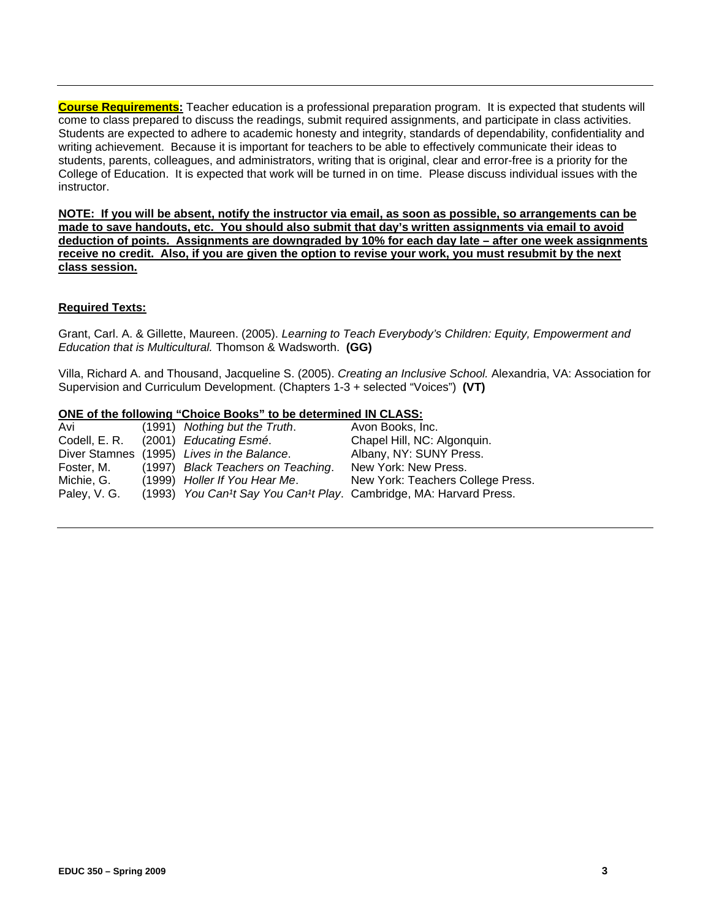instructor. **Course Requirements:** Teacher education is a professional preparation program. It is expected that students will come to class prepared to discuss the readings, submit required assignments, and participate in class activities. Students are expected to adhere to academic honesty and integrity, standards of dependability, confidentiality and writing achievement. Because it is important for teachers to be able to effectively communicate their ideas to students, parents, colleagues, and administrators, writing that is original, clear and error-free is a priority for the College of Education. It is expected that work will be turned in on time. Please discuss individual issues with the

**NOTE: If you will be absent, notify the instructor via email, as soon as possible, so arrangements can be made to save handouts, etc. You should also submit that day's written assignments via email to avoid deduction of points. Assignments are downgraded by 10% for each day late – after one week assignments receive no credit. Also, if you are given the option to revise your work, you must resubmit by the next class session.** 

# **Required Texts:**

 *Education that is Multicultural.* Thomson & Wadsworth. **(GG)**  Grant, Carl. A. & Gillette, Maureen. (2005). *Learning to Teach Everybody's Children: Equity, Empowerment and* 

Villa, Richard A. and Thousand, Jacqueline S. (2005). *Creating an Inclusive School.* Alexandria, VA: Association for Supervision and Curriculum Development. (Chapters 1-3 + selected "Voices") **(VT)** 

#### **ONE of the following "Choice Books" to be determined IN CLASS:**

| Avi          | (1991) Nothing but the Truth.              | Avon Books, Inc.                                                   |
|--------------|--------------------------------------------|--------------------------------------------------------------------|
|              | Codell, E. R. (2001) Educating Esmé.       | Chapel Hill, NC: Algonquin.                                        |
|              | Diver Stamnes (1995) Lives in the Balance. | Albany, NY: SUNY Press.                                            |
| Foster, M.   | (1997) Black Teachers on Teaching.         | New York: New Press.                                               |
| Michie, G.   | (1999) Holler If You Hear Me.              | New York: Teachers College Press.                                  |
| Paley, V. G. |                                            | (1993) You Can't Say You Can't Play. Cambridge, MA: Harvard Press. |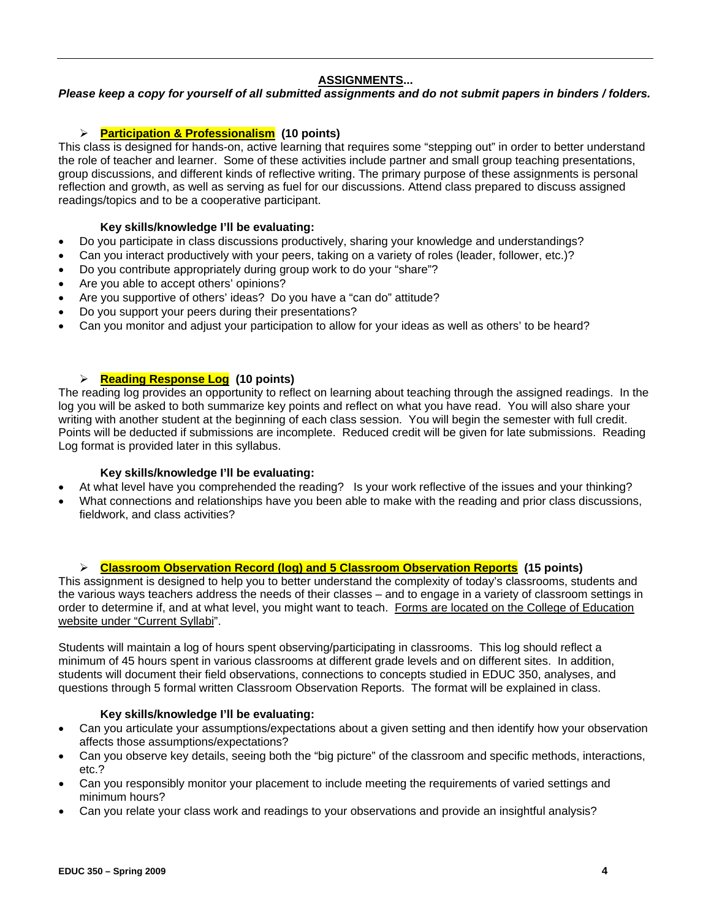# **ASSIGNMENTS...**

*Please keep a copy for yourself of all submitted assignments and do not submit papers in binders / folders.* 

# ¾ **Participation & Professionalism (10 points)**

This class is designed for hands-on, active learning that requires some "stepping out" in order to better understand the role of teacher and learner. Some of these activities include partner and small group teaching presentations, group discussions, and different kinds of reflective writing. The primary purpose of these assignments is personal reflection and growth, as well as serving as fuel for our discussions. Attend class prepared to discuss assigned readings/topics and to be a cooperative participant.

# **Key skills/knowledge I'll be evaluating:**

- Do you participate in class discussions productively, sharing your knowledge and understandings?
- Can you interact productively with your peers, taking on a variety of roles (leader, follower, etc.)?
- Do you contribute appropriately during group work to do your "share"?
- Are you able to accept others' opinions?
- Are you supportive of others' ideas? Do you have a "can do" attitude?
- Do you support your peers during their presentations?
- Can you monitor and adjust your participation to allow for your ideas as well as others' to be heard?

# ¾ **Reading Response Log (10 points)**

The reading log provides an opportunity to reflect on learning about teaching through the assigned readings. In the log you will be asked to both summarize key points and reflect on what you have read. You will also share your writing with another student at the beginning of each class session. You will begin the semester with full credit. Points will be deducted if submissions are incomplete. Reduced credit will be given for late submissions. Reading Log format is provided later in this syllabus.

# **Key skills/knowledge I'll be evaluating:**

- At what level have you comprehended the reading? Is your work reflective of the issues and your thinking?
- What connections and relationships have you been able to make with the reading and prior class discussions, fieldwork, and class activities?

# ¾ **Classroom Observation Record (log) and 5 Classroom Observation Reports (15 points)**

This assignment is designed to help you to better understand the complexity of today's classrooms, students and the various ways teachers address the needs of their classes – and to engage in a variety of classroom settings in order to determine if, and at what level, you might want to teach. Forms are located on the College of Education website under "Current Syllabi".

Students will maintain a log of hours spent observing/participating in classrooms. This log should reflect a minimum of 45 hours spent in various classrooms at different grade levels and on different sites. In addition, students will document their field observations, connections to concepts studied in EDUC 350, analyses, and questions through 5 formal written Classroom Observation Reports. The format will be explained in class.

## **Key skills/knowledge I'll be evaluating:**

- Can you articulate your assumptions/expectations about a given setting and then identify how your observation affects those assumptions/expectations?
- Can you observe key details, seeing both the "big picture" of the classroom and specific methods, interactions, etc.?
- Can you responsibly monitor your placement to include meeting the requirements of varied settings and minimum hours?
- Can you relate your class work and readings to your observations and provide an insightful analysis?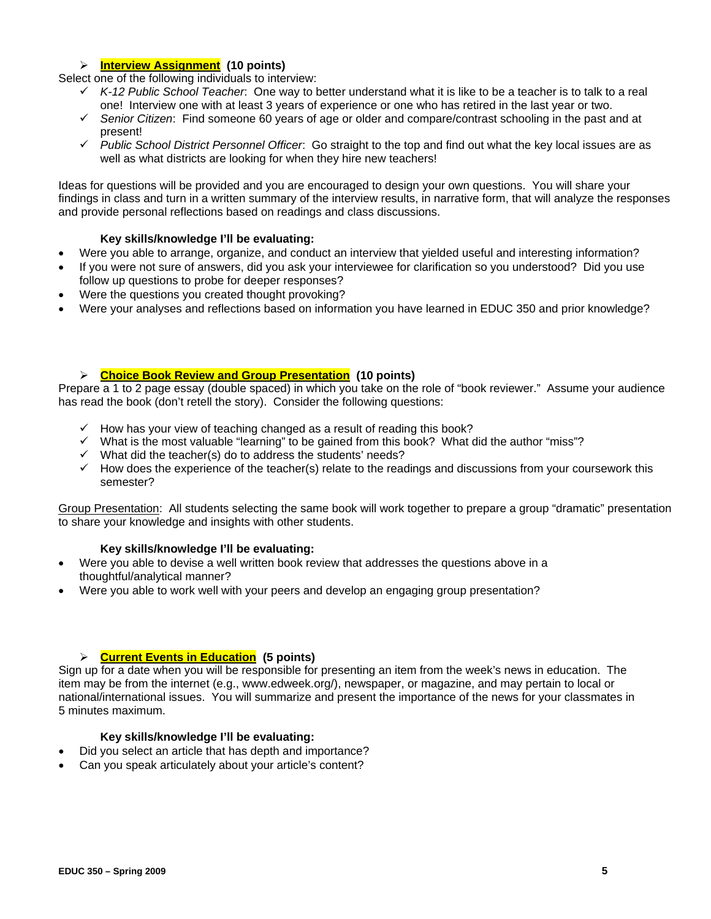# ¾ **Interview Assignment (10 points)**

Select one of the following individuals to interview:

- 9 *K-12 Public School Teacher*: One way to better understand what it is like to be a teacher is to talk to a real one! Interview one with at least 3 years of experience or one who has retired in the last year or two.
- 9 *Senior Citizen*: Find someone 60 years of age or older and compare/contrast schooling in the past and at present!
- 9 *Public School District Personnel Officer*: Go straight to the top and find out what the key local issues are as well as what districts are looking for when they hire new teachers!

Ideas for questions will be provided and you are encouraged to design your own questions. You will share your findings in class and turn in a written summary of the interview results, in narrative form, that will analyze the responses and provide personal reflections based on readings and class discussions.

## **Key skills/knowledge I'll be evaluating:**

- Were you able to arrange, organize, and conduct an interview that yielded useful and interesting information?
- If you were not sure of answers, did you ask your interviewee for clarification so you understood? Did you use follow up questions to probe for deeper responses?
- Were the questions you created thought provoking?
- • Were your analyses and reflections based on information you have learned in EDUC 350 and prior knowledge?

## ¾ **Choice Book Review and Group Presentation (10 points)**

Prepare a 1 to 2 page essay (double spaced) in which you take on the role of "book reviewer." Assume your audience has read the book (don't retell the story). Consider the following questions:

- $\checkmark$  How has your view of teaching changed as a result of reading this book?
- $\checkmark$  What is the most valuable "learning" to be gained from this book? What did the author "miss"?
- $\checkmark$  What did the teacher(s) do to address the students' needs?
- $\checkmark$  How does the experience of the teacher(s) relate to the readings and discussions from your coursework this semester?

Group Presentation: All students selecting the same book will work together to prepare a group "dramatic" presentation to share your knowledge and insights with other students.

## **Key skills/knowledge I'll be evaluating:**

- Were you able to devise a well written book review that addresses the questions above in a thoughtful/analytical manner?
- Were you able to work well with your peers and develop an engaging group presentation?

## ¾ **Current Events in Education (5 points)**

Sign up for a date when you will be responsible for presenting an item from the week's news in education. The item may be from the internet (e.g., www.edweek.org/), newspaper, or magazine, and may pertain to local or national/international issues. You will summarize and present the importance of the news for your classmates in 5 minutes maximum.

#### **Key skills/knowledge I'll be evaluating:**

- Did you select an article that has depth and importance?
- Can you speak articulately about your article's content?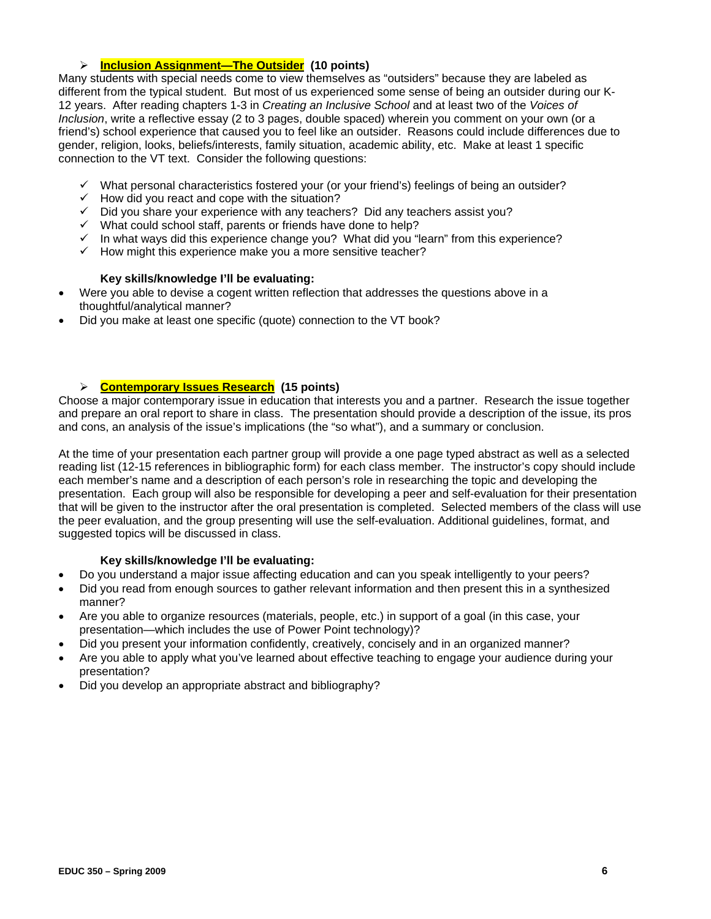# ¾ **Inclusion Assignment—The Outsider (10 points)**

 connection to the VT text. Consider the following questions: Many students with special needs come to view themselves as "outsiders" because they are labeled as different from the typical student. But most of us experienced some sense of being an outsider during our K-12 years. After reading chapters 1-3 in *Creating an Inclusive School* and at least two of the *Voices of Inclusion*, write a reflective essay (2 to 3 pages, double spaced) wherein you comment on your own (or a friend's) school experience that caused you to feel like an outsider. Reasons could include differences due to gender, religion, looks, beliefs/interests, family situation, academic ability, etc. Make at least 1 specific

- $\checkmark$  What personal characteristics fostered your (or your friend's) feelings of being an outsider?
- $\checkmark$  How did you react and cope with the situation?
- $\checkmark$  Did you share your experience with any teachers? Did any teachers assist you?
- $\checkmark$  What could school staff, parents or friends have done to help?
- $\checkmark$  In what ways did this experience change you? What did you "learn" from this experience?
- $\checkmark$  How might this experience make you a more sensitive teacher?

# **Key skills/knowledge I'll be evaluating:**

- Were you able to devise a cogent written reflection that addresses the questions above in a thoughtful/analytical manner?
- Did you make at least one specific (quote) connection to the VT book?

# ¾ **Contemporary Issues Research (15 points)**

Choose a major contemporary issue in education that interests you and a partner. Research the issue together and prepare an oral report to share in class. The presentation should provide a description of the issue, its pros and cons, an analysis of the issue's implications (the "so what"), and a summary or conclusion.

At the time of your presentation each partner group will provide a one page typed abstract as well as a selected reading list (12-15 references in bibliographic form) for each class member. The instructor's copy should include each member's name and a description of each person's role in researching the topic and developing the presentation. Each group will also be responsible for developing a peer and self-evaluation for their presentation that will be given to the instructor after the oral presentation is completed. Selected members of the class will use the peer evaluation, and the group presenting will use the self-evaluation. Additional guidelines, format, and suggested topics will be discussed in class.

## **Key skills/knowledge I'll be evaluating:**

- Do you understand a major issue affecting education and can you speak intelligently to your peers?
- Did you read from enough sources to gather relevant information and then present this in a synthesized manner?
- Are you able to organize resources (materials, people, etc.) in support of a goal (in this case, your presentation—which includes the use of Power Point technology)?
- Did you present your information confidently, creatively, concisely and in an organized manner?
- Are you able to apply what you've learned about effective teaching to engage your audience during your presentation?
- Did you develop an appropriate abstract and bibliography?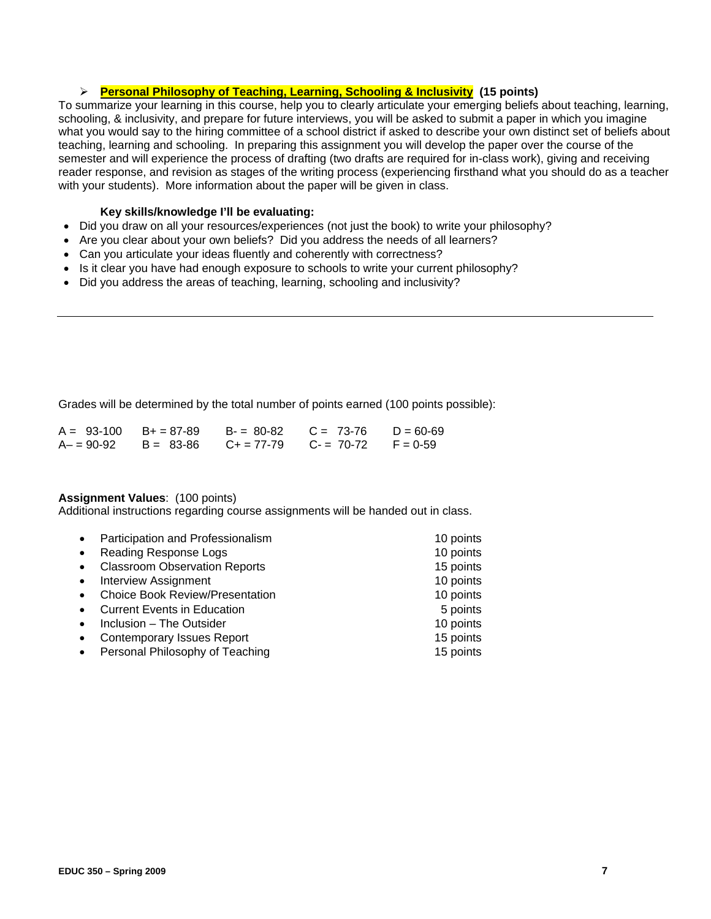# ¾ **Personal Philosophy of Teaching, Learning, Schooling & Inclusivity (15 points)**

To summarize your learning in this course, help you to clearly articulate your emerging beliefs about teaching, learning, schooling, & inclusivity, and prepare for future interviews, you will be asked to submit a paper in which you imagine what you would say to the hiring committee of a school district if asked to describe your own distinct set of beliefs about teaching, learning and schooling. In preparing this assignment you will develop the paper over the course of the semester and will experience the process of drafting (two drafts are required for in-class work), giving and receiving reader response, and revision as stages of the writing process (experiencing firsthand what you should do as a teacher with your students). More information about the paper will be given in class.

## **Key skills/knowledge I'll be evaluating:**

- Did you draw on all your resources/experiences (not just the book) to write your philosophy?
- Are you clear about your own beliefs? Did you address the needs of all learners?
- Can you articulate your ideas fluently and coherently with correctness?
- Is it clear you have had enough exposure to schools to write your current philosophy?
- Did you address the areas of teaching, learning, schooling and inclusivity?

Grades will be determined by the total number of points earned (100 points possible):

|  | $A = 93-100$ B+ = 87-89 B- = 80-82 C = 73-76 D = 60-69 |  |
|--|--------------------------------------------------------|--|
|  | $A = 90-92$ B = 83-86 C + = 77-79 C - = 70-72 F = 0-59 |  |

# **Assignment Values**: (100 points)

Additional instructions regarding course assignments will be handed out in class.

|           | Participation and Professionalism      | 10 points |
|-----------|----------------------------------------|-----------|
| $\bullet$ | Reading Response Logs                  | 10 points |
| $\bullet$ | <b>Classroom Observation Reports</b>   | 15 points |
| $\bullet$ | <b>Interview Assignment</b>            | 10 points |
|           | <b>Choice Book Review/Presentation</b> | 10 points |
|           | <b>Current Events in Education</b>     | 5 points  |
|           | Inclusion - The Outsider               | 10 points |
|           | <b>Contemporary Issues Report</b>      | 15 points |
|           | Personal Philosophy of Teaching        | 15 points |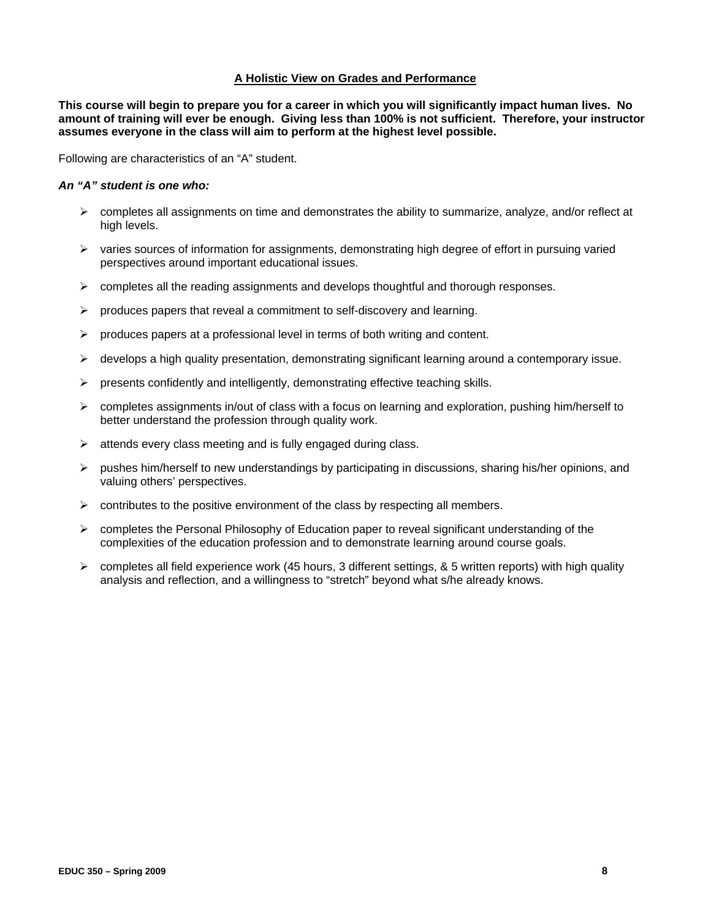#### **A Holistic View on Grades and Performance**

**This course will begin to prepare you for a career in which you will significantly impact human lives. No amount of training will ever be enough. Giving less than 100% is not sufficient. Therefore, your instructor assumes everyone in the class will aim to perform at the highest level possible.** 

Following are characteristics of an "A" student.

# *An "A" student is one who:*

- $\triangleright$  completes all assignments on time and demonstrates the ability to summarize, analyze, and/or reflect at high levels.
- $\triangleright$  varies sources of information for assignments, demonstrating high degree of effort in pursuing varied perspectives around important educational issues.
- $\triangleright$  completes all the reading assignments and develops thoughtful and thorough responses.
- $\triangleright$  produces papers that reveal a commitment to self-discovery and learning.
- $\triangleright$  produces papers at a professional level in terms of both writing and content.
- $\triangleright$  develops a high quality presentation, demonstrating significant learning around a contemporary issue.
- $\triangleright$  presents confidently and intelligently, demonstrating effective teaching skills.
- $\triangleright$  completes assignments in/out of class with a focus on learning and exploration, pushing him/herself to better understand the profession through quality work.
- $\triangleright$  attends every class meeting and is fully engaged during class.
- $\triangleright$  pushes him/herself to new understandings by participating in discussions, sharing his/her opinions, and valuing others' perspectives.
- $\triangleright$  contributes to the positive environment of the class by respecting all members.
- complexities of the education profession and to demonstrate learning around course goals.  $\triangleright$  completes the Personal Philosophy of Education paper to reveal significant understanding of the
- $\triangleright$  completes all field experience work (45 hours, 3 different settings, & 5 written reports) with high quality analysis and reflection, and a willingness to "stretch" beyond what s/he already knows.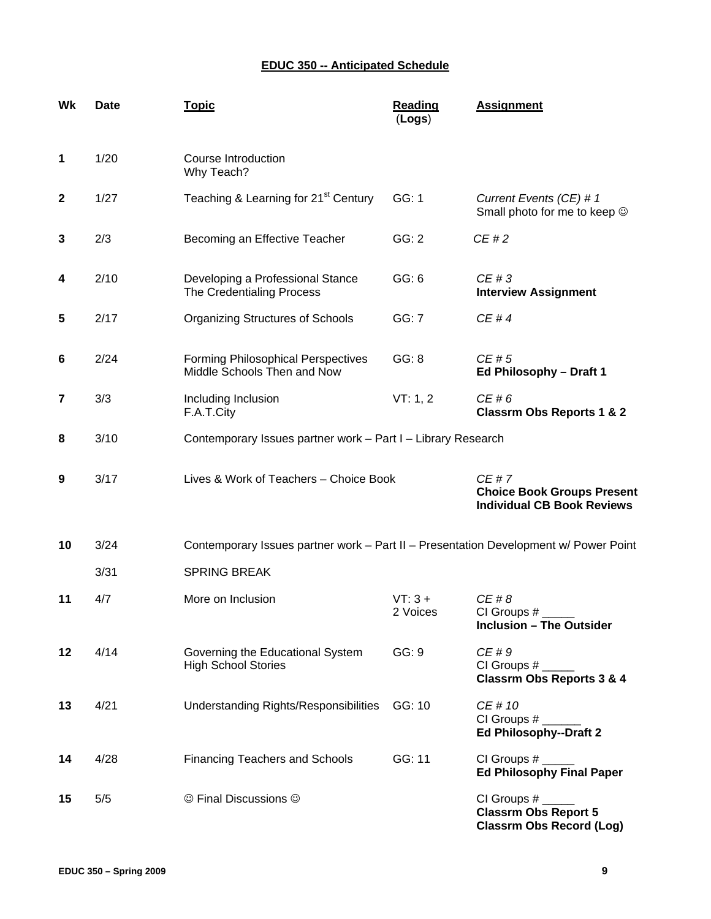# **EDUC 350 -- Anticipated Schedule**

| Wk           | <b>Date</b> | <b>Topic</b>                                                                         | <b>Reading</b><br>(Logs)                                 | <b>Assignment</b>                                                              |  |
|--------------|-------------|--------------------------------------------------------------------------------------|----------------------------------------------------------|--------------------------------------------------------------------------------|--|
| $\mathbf 1$  | 1/20        | Course Introduction<br>Why Teach?                                                    |                                                          |                                                                                |  |
| $\mathbf{2}$ | 1/27        | Teaching & Learning for 21 <sup>st</sup> Century<br>GG: 1                            |                                                          | Current Events (CE) # 1<br>Small photo for me to keep $\odot$                  |  |
| 3            | 2/3         | Becoming an Effective Teacher<br>GG: 2                                               |                                                          | CE#2                                                                           |  |
| 4            | 2/10        | Developing a Professional Stance<br>The Credentialing Process                        | GG: 6                                                    | CE#3<br><b>Interview Assignment</b>                                            |  |
| 5            | 2/17        | <b>Organizing Structures of Schools</b>                                              | GG: 7                                                    | CE#4                                                                           |  |
| 6            | 2/24        | <b>Forming Philosophical Perspectives</b><br>Middle Schools Then and Now             | GG: 8                                                    | CE#5<br>Ed Philosophy - Draft 1                                                |  |
| 7            | 3/3         | Including Inclusion<br>F.A.T.City                                                    | VT: 1, 2<br>CE#6<br><b>Classrm Obs Reports 1 &amp; 2</b> |                                                                                |  |
| 8            | 3/10        | Contemporary Issues partner work - Part I - Library Research                         |                                                          |                                                                                |  |
| 9            | 3/17        | Lives & Work of Teachers - Choice Book                                               |                                                          | CE#7<br><b>Choice Book Groups Present</b><br><b>Individual CB Book Reviews</b> |  |
| 10           | 3/24        | Contemporary Issues partner work - Part II - Presentation Development w/ Power Point |                                                          |                                                                                |  |
|              | 3/31        | <b>SPRING BREAK</b>                                                                  |                                                          |                                                                                |  |
| 11           | 4/7         | More on Inclusion                                                                    | $VT:3+$<br>2 Voices                                      | CE#8<br>CI Groups #<br><b>Inclusion - The Outsider</b>                         |  |
| 12           | 4/14        | Governing the Educational System<br><b>High School Stories</b>                       | GG: 9                                                    | CE#9<br><b>Classrm Obs Reports 3 &amp; 4</b>                                   |  |
| 13           | 4/21        | Understanding Rights/Responsibilities                                                | GG: 10                                                   | CE # 10<br>CI Groups #<br><b>Ed Philosophy--Draft 2</b>                        |  |
| 14           | 4/28        | <b>Financing Teachers and Schools</b>                                                | GG: 11                                                   | CI Groups #<br><b>Ed Philosophy Final Paper</b>                                |  |
| 15           | 5/5         | © Final Discussions ©                                                                |                                                          | CI Groups #<br><b>Classrm Obs Report 5</b><br><b>Classrm Obs Record (Log)</b>  |  |